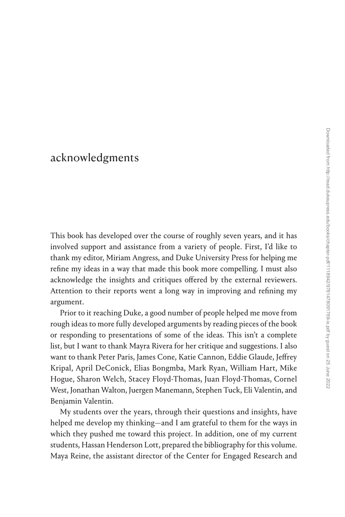## [acknowledgments](#page--1-0)

This book has developed over the course of roughly seven years, and it has involved support and assistance from a variety of people. First, I'd like to thank my editor, Miriam Angress, and Duke University Press for helping me refine my ideas in a way that made this book more compelling. I must also acknowledge the insights and critiques offered by the external reviewers. Attention to their reports went a long way in improving and refining my argument.

Prior to it reaching Duke, a good number of people helped me move from rough ideas to more fully developed arguments by reading pieces of the book or responding to presentations of some of the ideas. This isn't a complete list, but I want to thank Mayra Rivera for her critique and suggestions. I also want to thank Peter Paris, James Cone, Katie Cannon, Eddie Glaude, Jeffrey Kripal, April DeConick, Elias Bongmba, Mark Ryan, William Hart, Mike Hogue, Sharon Welch, Stacey Floyd-Thomas, Juan Floyd-Thomas, Cornel West, Jonathan Walton, Juergen Manemann, Stephen Tuck, Eli Valentin, and Benjamin Valentin.

My students over the years, through their questions and insights, have helped me develop my thinking—and I am grateful to them for the ways in which they pushed me toward this project. In addition, one of my current students, Hassan Henderson Lott, prepared the bibliography for this volume. Maya Reine, the assistant director of the Center for Engaged Research and